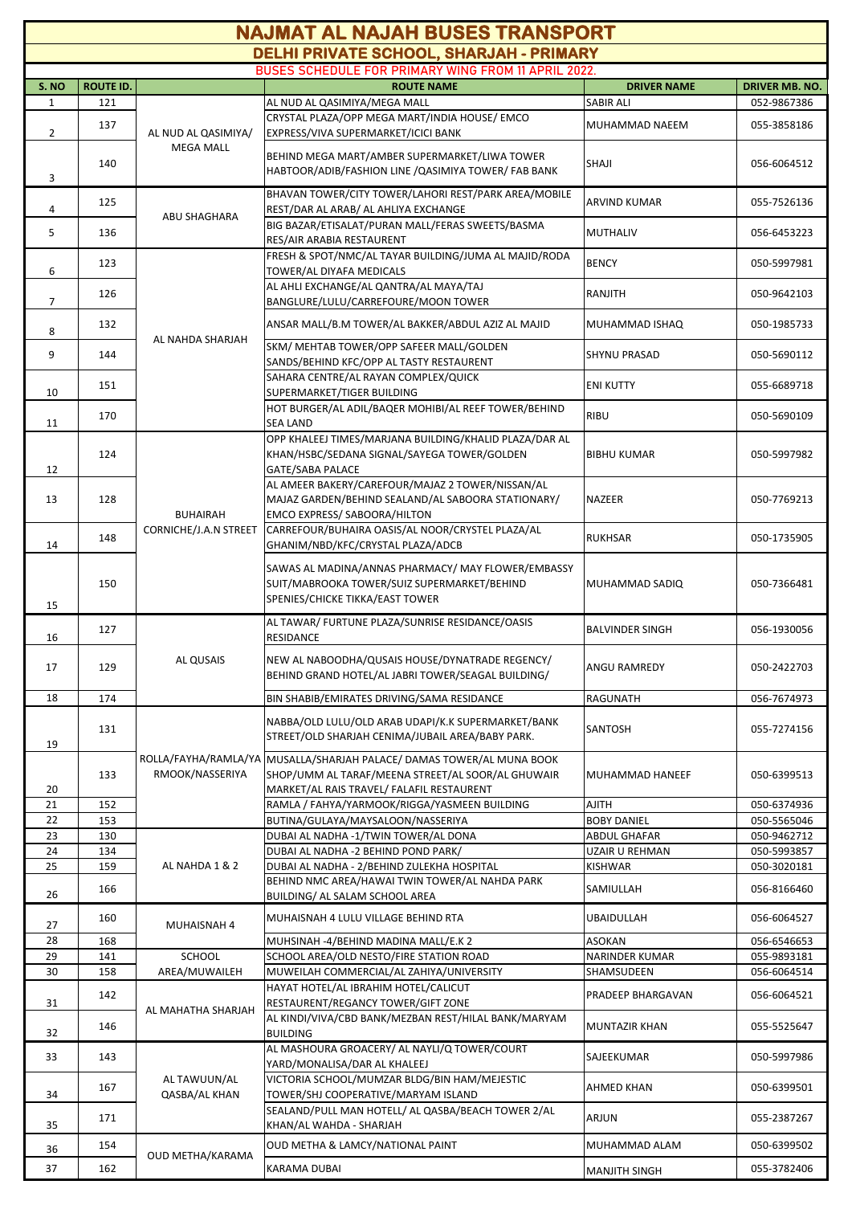| <b>NAJMAT AL NAJAH BUSES TRANSPORT</b>                                                         |                  |                                          |                                                                                                                                                                         |                             |                            |  |  |  |  |  |
|------------------------------------------------------------------------------------------------|------------------|------------------------------------------|-------------------------------------------------------------------------------------------------------------------------------------------------------------------------|-----------------------------|----------------------------|--|--|--|--|--|
| DELHI PRIVATE SCHOOL, SHARJAH - PRIMARY<br>BUSES SCHEDULE FOR PRIMARY WING FROM 11 APRIL 2022. |                  |                                          |                                                                                                                                                                         |                             |                            |  |  |  |  |  |
| S. NO                                                                                          | <b>ROUTE ID.</b> |                                          | <b>ROUTE NAME</b>                                                                                                                                                       | <b>DRIVER NAME</b>          | <b>DRIVER MB. NO.</b>      |  |  |  |  |  |
| $\mathbf{1}$                                                                                   | 121              |                                          | AL NUD AL QASIMIYA/MEGA MALL                                                                                                                                            | <b>SABIR ALI</b>            | 052-9867386                |  |  |  |  |  |
| 2                                                                                              | 137              | AL NUD AL QASIMIYA/<br><b>MEGA MALL</b>  | CRYSTAL PLAZA/OPP MEGA MART/INDIA HOUSE/ EMCO<br>EXPRESS/VIVA SUPERMARKET/ICICI BANK                                                                                    | MUHAMMAD NAEEM              | 055-3858186                |  |  |  |  |  |
| 3                                                                                              | 140              |                                          | BEHIND MEGA MART/AMBER SUPERMARKET/LIWA TOWER<br>HABTOOR/ADIB/FASHION LINE /QASIMIYA TOWER/ FAB BANK                                                                    | SHAJI                       | 056-6064512                |  |  |  |  |  |
| 4                                                                                              | 125              | ABU SHAGHARA                             | BHAVAN TOWER/CITY TOWER/LAHORI REST/PARK AREA/MOBILE<br>REST/DAR AL ARAB/ AL AHLIYA EXCHANGE                                                                            | <b>ARVIND KUMAR</b>         | 055-7526136                |  |  |  |  |  |
| 5                                                                                              | 136              |                                          | BIG BAZAR/ETISALAT/PURAN MALL/FERAS SWEETS/BASMA<br>RES/AIR ARABIA RESTAURENT                                                                                           | <b>MUTHALIV</b>             | 056-6453223                |  |  |  |  |  |
| 6                                                                                              | 123              | AL NAHDA SHARJAH                         | FRESH & SPOT/NMC/AL TAYAR BUILDING/JUMA AL MAJID/RODA<br>TOWER/AL DIYAFA MEDICALS                                                                                       | <b>BENCY</b>                | 050-5997981                |  |  |  |  |  |
| 7                                                                                              | 126              |                                          | AL AHLI EXCHANGE/AL QANTRA/AL MAYA/TAJ<br>BANGLURE/LULU/CARREFOURE/MOON TOWER                                                                                           | RANJITH                     | 050-9642103                |  |  |  |  |  |
| 8                                                                                              | 132              |                                          | ANSAR MALL/B.M TOWER/AL BAKKER/ABDUL AZIZ AL MAJID                                                                                                                      | MUHAMMAD ISHAQ              | 050-1985733                |  |  |  |  |  |
| 9                                                                                              | 144              |                                          | SKM/ MEHTAB TOWER/OPP SAFEER MALL/GOLDEN<br>SANDS/BEHIND KFC/OPP AL TASTY RESTAURENT                                                                                    | <b>SHYNU PRASAD</b>         | 050-5690112                |  |  |  |  |  |
| 10                                                                                             | 151              |                                          | SAHARA CENTRE/AL RAYAN COMPLEX/QUICK<br>SUPERMARKET/TIGER BUILDING                                                                                                      | <b>ENI KUTTY</b>            | 055-6689718                |  |  |  |  |  |
| 11                                                                                             | 170              |                                          | HOT BURGER/AL ADIL/BAQER MOHIBI/AL REEF TOWER/BEHIND<br><b>SEA LAND</b>                                                                                                 | <b>RIBU</b>                 | 050-5690109                |  |  |  |  |  |
| 12                                                                                             | 124              | <b>BUHAIRAH</b><br>CORNICHE/J.A.N STREET | OPP KHALEEJ TIMES/MARJANA BUILDING/KHALID PLAZA/DAR AL<br>KHAN/HSBC/SEDANA SIGNAL/SAYEGA TOWER/GOLDEN<br><b>GATE/SABA PALACE</b>                                        | <b>BIBHU KUMAR</b>          | 050-5997982                |  |  |  |  |  |
| 13                                                                                             | 128              |                                          | AL AMEER BAKERY/CAREFOUR/MAJAZ 2 TOWER/NISSAN/AL<br>MAJAZ GARDEN/BEHIND SEALAND/AL SABOORA STATIONARY/<br>EMCO EXPRESS/ SABOORA/HILTON                                  | <b>NAZEER</b>               | 050-7769213                |  |  |  |  |  |
| 14                                                                                             | 148              |                                          | CARREFOUR/BUHAIRA OASIS/AL NOOR/CRYSTEL PLAZA/AL<br>GHANIM/NBD/KFC/CRYSTAL PLAZA/ADCB                                                                                   | <b>RUKHSAR</b>              | 050-1735905                |  |  |  |  |  |
| 15                                                                                             | 150              |                                          | SAWAS AL MADINA/ANNAS PHARMACY/ MAY FLOWER/EMBASSY<br>SUIT/MABROOKA TOWER/SUIZ SUPERMARKET/BEHIND<br>SPENIES/CHICKE TIKKA/EAST TOWER                                    | MUHAMMAD SADIO              | 050-7366481                |  |  |  |  |  |
| 16                                                                                             | 127              | AL QUSAIS                                | AL TAWAR/ FURTUNE PLAZA/SUNRISE RESIDANCE/OASIS<br>RESIDANCE                                                                                                            | <b>BALVINDER SINGH</b>      | 056-1930056                |  |  |  |  |  |
| 17                                                                                             | 129              |                                          | NEW AL NABOODHA/QUSAIS HOUSE/DYNATRADE REGENCY/<br>BEHIND GRAND HOTEL/AL JABRI TOWER/SEAGAL BUILDING/                                                                   | ANGU RAMREDY                | 050-2422703                |  |  |  |  |  |
| 18                                                                                             | 174              |                                          | BIN SHABIB/EMIRATES DRIVING/SAMA RESIDANCE                                                                                                                              | RAGUNATH                    | 056-7674973                |  |  |  |  |  |
| 19                                                                                             | 131              | RMOOK/NASSERIYA                          | NABBA/OLD LULU/OLD ARAB UDAPI/K.K SUPERMARKET/BANK<br>STREET/OLD SHARJAH CENIMA/JUBAIL AREA/BABY PARK.                                                                  | SANTOSH                     | 055-7274156                |  |  |  |  |  |
| 20                                                                                             | 133              |                                          | ROLLA/FAYHA/RAMLA/YA MUSALLA/SHARJAH PALACE/ DAMAS TOWER/AL MUNA BOOK<br>SHOP/UMM AL TARAF/MEENA STREET/AL SOOR/AL GHUWAIR<br>MARKET/AL RAIS TRAVEL/ FALAFIL RESTAURENT | MUHAMMAD HANEEF             | 050-6399513                |  |  |  |  |  |
| 21                                                                                             | 152              |                                          | RAMLA / FAHYA/YARMOOK/RIGGA/YASMEEN BUILDING                                                                                                                            | <b>AJITH</b>                | 050-6374936                |  |  |  |  |  |
| 22                                                                                             | 153              |                                          | BUTINA/GULAYA/MAYSALOON/NASSERIYA                                                                                                                                       | <b>BOBY DANIEL</b>          | 050-5565046                |  |  |  |  |  |
| 23                                                                                             | 130              |                                          | DUBAI AL NADHA -1/TWIN TOWER/AL DONA                                                                                                                                    | <b>ABDUL GHAFAR</b>         | 050-9462712                |  |  |  |  |  |
| 24                                                                                             | 134              |                                          | DUBAI AL NADHA -2 BEHIND POND PARK/                                                                                                                                     | UZAIR U REHMAN              | 050-5993857                |  |  |  |  |  |
| 25<br>26                                                                                       | 159<br>166       | AL NAHDA 1 & 2                           | DUBAI AL NADHA - 2/BEHIND ZULEKHA HOSPITAL<br>BEHIND NMC AREA/HAWAI TWIN TOWER/AL NAHDA PARK<br>BUILDING/ AL SALAM SCHOOL AREA                                          | <b>KISHWAR</b><br>SAMIULLAH | 050-3020181<br>056-8166460 |  |  |  |  |  |
| 27                                                                                             | 160              | MUHAISNAH 4                              | MUHAISNAH 4 LULU VILLAGE BEHIND RTA                                                                                                                                     | <b>UBAIDULLAH</b>           | 056-6064527                |  |  |  |  |  |
| 28                                                                                             | 168              |                                          | MUHSINAH -4/BEHIND MADINA MALL/E.K 2                                                                                                                                    | <b>ASOKAN</b>               | 056-6546653                |  |  |  |  |  |
| 29                                                                                             | 141              | <b>SCHOOL</b>                            | SCHOOL AREA/OLD NESTO/FIRE STATION ROAD                                                                                                                                 | <b>NARINDER KUMAR</b>       | 055-9893181                |  |  |  |  |  |
| 30                                                                                             | 158              | AREA/MUWAILEH                            | MUWEILAH COMMERCIAL/AL ZAHIYA/UNIVERSITY                                                                                                                                | SHAMSUDEEN                  | 056-6064514                |  |  |  |  |  |
|                                                                                                | 142              |                                          | HAYAT HOTEL/AL IBRAHIM HOTEL/CALICUT                                                                                                                                    | PRADEEP BHARGAVAN           | 056-6064521                |  |  |  |  |  |
| 31                                                                                             | 146              | AL MAHATHA SHARJAH                       | RESTAURENT/REGANCY TOWER/GIFT ZONE<br>AL KINDI/VIVA/CBD BANK/MEZBAN REST/HILAL BANK/MARYAM                                                                              | <b>MUNTAZIR KHAN</b>        | 055-5525647                |  |  |  |  |  |
| 32<br>33                                                                                       | 143              | AL TAWUUN/AL<br>QASBA/AL KHAN            | <b>BUILDING</b><br>AL MASHOURA GROACERY/ AL NAYLI/Q TOWER/COURT                                                                                                         | SAJEEKUMAR                  | 050-5997986                |  |  |  |  |  |
| 34                                                                                             | 167              |                                          | YARD/MONALISA/DAR AL KHALEEJ<br>VICTORIA SCHOOL/MUMZAR BLDG/BIN HAM/MEJESTIC<br>TOWER/SHJ COOPERATIVE/MARYAM ISLAND                                                     | <b>AHMED KHAN</b>           | 050-6399501                |  |  |  |  |  |
| 35                                                                                             | 171              |                                          | SEALAND/PULL MAN HOTELL/ AL QASBA/BEACH TOWER 2/AL<br>KHAN/AL WAHDA - SHARJAH                                                                                           | ARJUN                       | 055-2387267                |  |  |  |  |  |
| 36                                                                                             | 154              | OUD METHA/KARAMA                         | OUD METHA & LAMCY/NATIONAL PAINT                                                                                                                                        | MUHAMMAD ALAM               | 050-6399502                |  |  |  |  |  |
| 37                                                                                             | 162              |                                          | KARAMA DUBAI                                                                                                                                                            | <b>MANJITH SINGH</b>        | 055-3782406                |  |  |  |  |  |